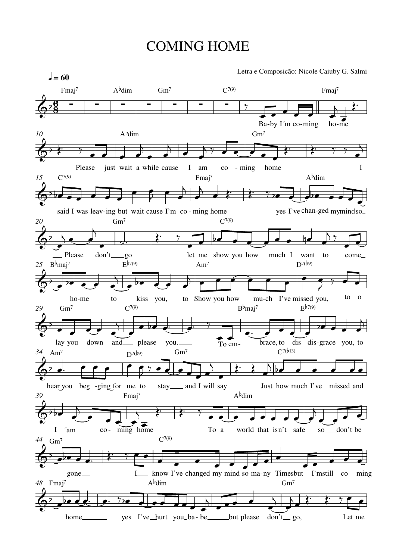## COMING HOME